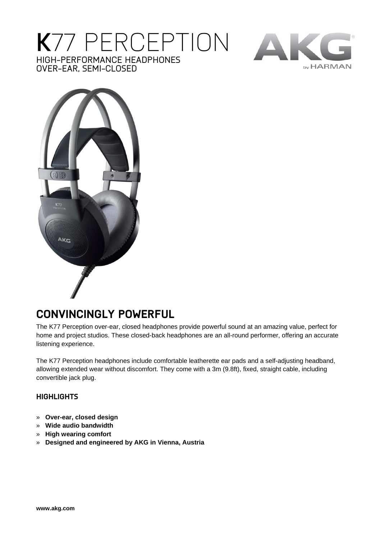## **K**77 PERCEPTION HIGH-PERFORMANCE HEADPHONES OVER-EAR, SEMI-CLOSED





## **CONVINCINGLY POWERFUL**

The K77 Perception over-ear, closed headphones provide powerful sound at an amazing value, perfect for home and project studios. These closed-back headphones are an all-round performer, offering an accurate listening experience.

The K77 Perception headphones include comfortable leatherette ear pads and a self-adjusting headband, allowing extended wear without discomfort. They come with a 3m (9.8ft), fixed, straight cable, including convertible jack plug.

## **HIGHLIGHTS**

- » **Over-ear, closed design**
- » **Wide audio bandwidth**
- » **High wearing comfort**
- » **Designed and engineered by AKG in Vienna, Austria**